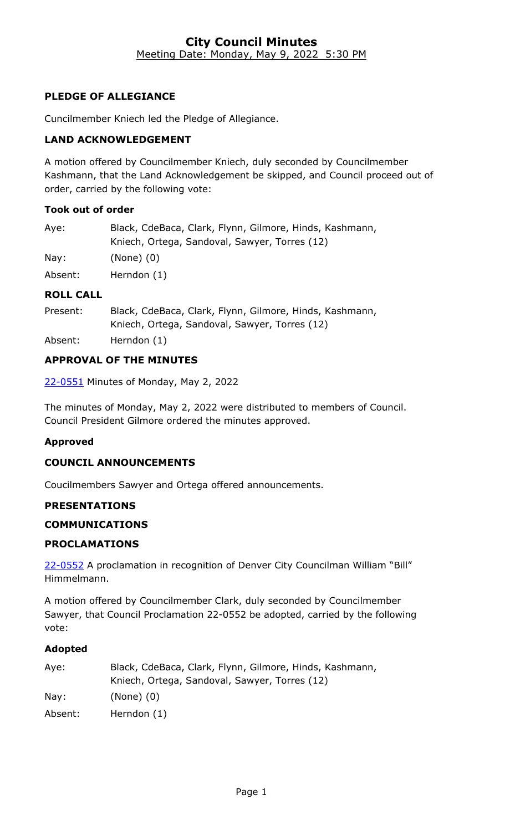#### **City Council Minutes** Meeting Date: Monday, May 9, 2022 5:30 PM

# **PLEDGE OF ALLEGIANCE**

Cuncilmember Kniech led the Pledge of Allegiance.

## **LAND ACKNOWLEDGEMENT**

A motion offered by Councilmember Kniech, duly seconded by Councilmember Kashmann, that the Land Acknowledgement be skipped, and Council proceed out of order, carried by the following vote:

#### **Took out of order**

| Aye:    | Black, CdeBaca, Clark, Flynn, Gilmore, Hinds, Kashmann,<br>Kniech, Ortega, Sandoval, Sawyer, Torres (12) |
|---------|----------------------------------------------------------------------------------------------------------|
| Nay:    | (None) (0)                                                                                               |
| Absent: | Herndon $(1)$                                                                                            |

#### **ROLL CALL**

| Present: | Black, CdeBaca, Clark, Flynn, Gilmore, Hinds, Kashmann, |
|----------|---------------------------------------------------------|
|          | Kniech, Ortega, Sandoval, Sawyer, Torres (12)           |

Absent: Herndon (1)

## **APPROVAL OF THE MINUTES**

22-0551 [Minutes of Monday, May 2, 2022](http://denver.legistar.com/gateway.aspx?m=l&id=/matter.aspx?key=21618)

The minutes of Monday, May 2, 2022 were distributed to members of Council. Council President Gilmore ordered the minutes approved.

## **Approved**

## **COUNCIL ANNOUNCEMENTS**

Coucilmembers Sawyer and Ortega offered announcements.

#### **PRESENTATIONS**

## **COMMUNICATIONS**

## **PROCLAMATIONS**

22-0552 A proclamation in recognition of Denver City Councilman William "Bill" Himmelmann.

A motion offered by Councilmember Clark, duly seconded by Councilmember Sawyer, that Council Proclamation 22-0552 be adopted, carried by the following vote:

| Aye:    | Black, CdeBaca, Clark, Flynn, Gilmore, Hinds, Kashmann, |
|---------|---------------------------------------------------------|
|         | Kniech, Ortega, Sandoval, Sawyer, Torres (12)           |
| Nay:    | $(None)$ $(0)$                                          |
| Absent: | Herndon (1)                                             |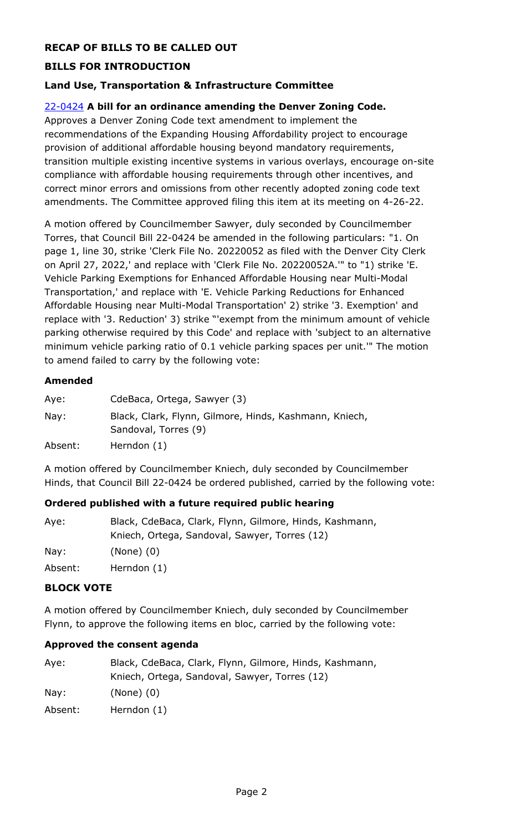# **RECAP OF BILLS TO BE CALLED OUT**

# **BILLS FOR INTRODUCTION**

## **Land Use, Transportation & Infrastructure Committee**

#### 22-0424 **A bill for an ordinance amending the Denver Zoning Code.**

Approves a Denver Zoning Code text amendment to implement the recommendations of the Expanding Housing Affordability project to encourage provision of additional affordable housing beyond mandatory requirements, [transition multiple existing incentive systems in various overlays, encourage on-site](http://denver.legistar.com/gateway.aspx?m=l&id=/matter.aspx?key=21491)  compliance with affordable housing requirements through other incentives, and correct minor errors and omissions from other recently adopted zoning code text amendments. The Committee approved filing this item at its meeting on 4-26-22.

A motion offered by Councilmember Sawyer, duly seconded by Councilmember Torres, that Council Bill 22-0424 be amended in the following particulars: "1. On page 1, line 30, strike 'Clerk File No. 20220052 as filed with the Denver City Clerk on April 27, 2022,' and replace with 'Clerk File No. 20220052A.'" to "1) strike 'E. Vehicle Parking Exemptions for Enhanced Affordable Housing near Multi-Modal Transportation,' and replace with 'E. Vehicle Parking Reductions for Enhanced Affordable Housing near Multi-Modal Transportation' 2) strike '3. Exemption' and replace with '3. Reduction' 3) strike "'exempt from the minimum amount of vehicle parking otherwise required by this Code' and replace with 'subject to an alternative minimum vehicle parking ratio of 0.1 vehicle parking spaces per unit.'" The motion to amend failed to carry by the following vote:

#### **Amended**

| Aye:    | CdeBaca, Ortega, Sawyer (3)                                                    |
|---------|--------------------------------------------------------------------------------|
| Nay:    | Black, Clark, Flynn, Gilmore, Hinds, Kashmann, Kniech,<br>Sandoval, Torres (9) |
| Absent: | Herndon (1)                                                                    |

A motion offered by Councilmember Kniech, duly seconded by Councilmember Hinds, that Council Bill 22-0424 be ordered published, carried by the following vote:

#### **Ordered published with a future required public hearing**

| Aye:    | Black, CdeBaca, Clark, Flynn, Gilmore, Hinds, Kashmann,<br>Kniech, Ortega, Sandoval, Sawyer, Torres (12) |
|---------|----------------------------------------------------------------------------------------------------------|
| Nay:    | $(None)$ $(0)$                                                                                           |
| Absent: | Herndon (1)                                                                                              |

## **BLOCK VOTE**

A motion offered by Councilmember Kniech, duly seconded by Councilmember Flynn, to approve the following items en bloc, carried by the following vote:

#### **Approved the consent agenda**

| Aye:            | Black, CdeBaca, Clark, Flynn, Gilmore, Hinds, Kashmann, |
|-----------------|---------------------------------------------------------|
|                 | Kniech, Ortega, Sandoval, Sawyer, Torres (12)           |
| $\textsf{Nay}:$ | $(None)$ $(0)$                                          |
| Absent:         | Herndon (1)                                             |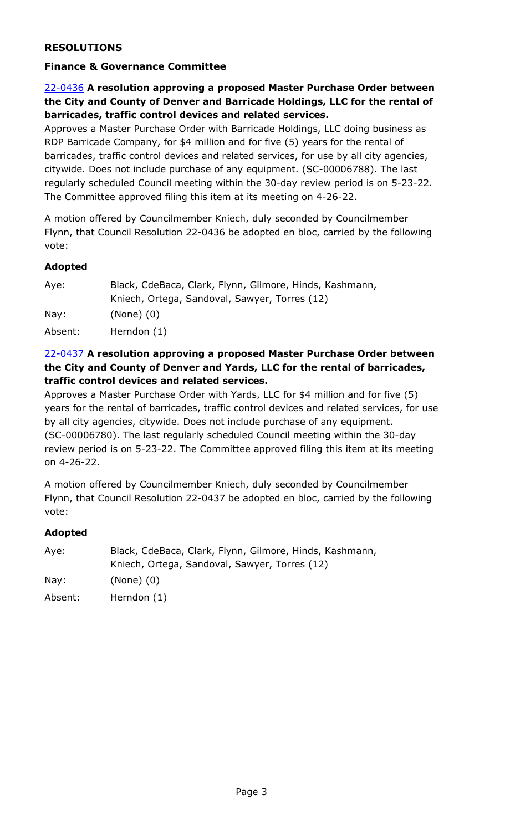## **RESOLUTIONS**

#### **Finance & Governance Committee**

# 22-0436 **A resolution approving a proposed Master Purchase Order between [the City and County of Denver and Barricade Holdings, LLC for the rental of](http://denver.legistar.com/gateway.aspx?m=l&id=/matter.aspx?key=21503)  barricades, traffic control devices and related services.**

Approves a Master Purchase Order with Barricade Holdings, LLC doing business as RDP Barricade Company, for \$4 million and for five (5) years for the rental of barricades, traffic control devices and related services, for use by all city agencies, citywide. Does not include purchase of any equipment. (SC-00006788). The last regularly scheduled Council meeting within the 30-day review period is on 5-23-22. The Committee approved filing this item at its meeting on 4-26-22.

A motion offered by Councilmember Kniech, duly seconded by Councilmember Flynn, that Council Resolution 22-0436 be adopted en bloc, carried by the following vote:

#### **Adopted**

| Aye:    | Black, CdeBaca, Clark, Flynn, Gilmore, Hinds, Kashmann, |
|---------|---------------------------------------------------------|
|         | Kniech, Ortega, Sandoval, Sawyer, Torres (12)           |
| Nay:    | $(None)$ $(0)$                                          |
| Absent: | Herndon (1)                                             |

## 22-0437 **A resolution approving a proposed Master Purchase Order between the City and County of Denver and Yards, LLC for the rental of barricades, traffic control devices and related services.**

Approves a Master Purchase Order with Yards, LLC for \$4 million and for five (5) [years for the rental of barricades, traffic control devices and related services, for use](http://denver.legistar.com/gateway.aspx?m=l&id=/matter.aspx?key=21504)  by all city agencies, citywide. Does not include purchase of any equipment. (SC-00006780). The last regularly scheduled Council meeting within the 30-day review period is on 5-23-22. The Committee approved filing this item at its meeting on 4-26-22.

A motion offered by Councilmember Kniech, duly seconded by Councilmember Flynn, that Council Resolution 22-0437 be adopted en bloc, carried by the following vote:

| Aye:    | Black, CdeBaca, Clark, Flynn, Gilmore, Hinds, Kashmann, |
|---------|---------------------------------------------------------|
|         | Kniech, Ortega, Sandoval, Sawyer, Torres (12)           |
| Nay:    | $(None)$ $(0)$                                          |
| Absent: | Herndon (1)                                             |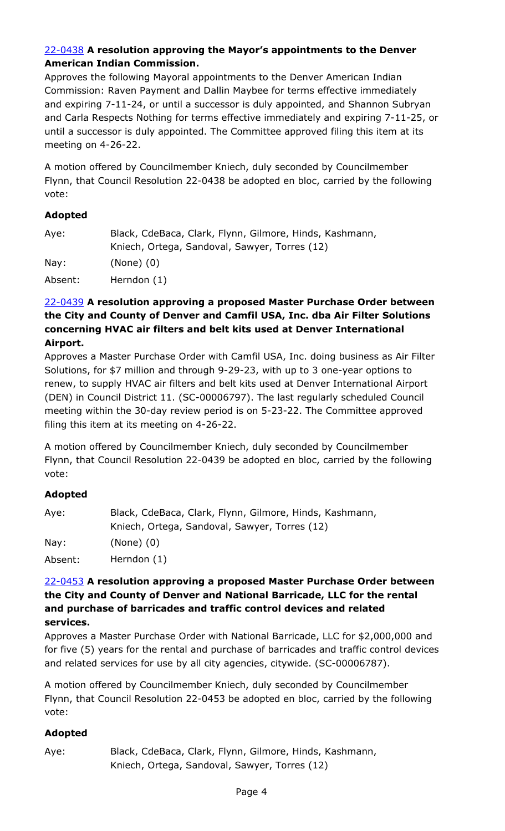## 22-0438 **A resolution approving the Mayor's appointments to the Denver American Indian Commission.**

Approves the following Mayoral appointments to the Denver American Indian Commission: Raven Payment and Dallin Maybee for terms effective immediately and expiring 7-11-24, or until a successor is duly appointed, and Shannon Subryan [and Carla Respects Nothing for terms effective immediately and expiring 7-11-25, or](http://denver.legistar.com/gateway.aspx?m=l&id=/matter.aspx?key=21505)  until a successor is duly appointed. The Committee approved filing this item at its meeting on 4-26-22.

A motion offered by Councilmember Kniech, duly seconded by Councilmember Flynn, that Council Resolution 22-0438 be adopted en bloc, carried by the following vote:

# **Adopted**

| Aye:    | Black, CdeBaca, Clark, Flynn, Gilmore, Hinds, Kashmann, |
|---------|---------------------------------------------------------|
|         | Kniech, Ortega, Sandoval, Sawyer, Torres (12)           |
| Nay:    | $(None)$ $(0)$                                          |
| Absent: | Herndon (1)                                             |

#### 22-0439 **A resolution approving a proposed Master Purchase Order between the City and County of Denver and Camfil USA, Inc. dba Air Filter Solutions concerning HVAC air filters and belt kits used at Denver International Airport.**

[Approves a Master Purchase Order with Camfil USA, Inc. doing business as Air Filter](http://denver.legistar.com/gateway.aspx?m=l&id=/matter.aspx?key=21506)  Solutions, for \$7 million and through 9-29-23, with up to 3 one-year options to renew, to supply HVAC air filters and belt kits used at Denver International Airport (DEN) in Council District 11. (SC-00006797). The last regularly scheduled Council meeting within the 30-day review period is on 5-23-22. The Committee approved filing this item at its meeting on 4-26-22.

A motion offered by Councilmember Kniech, duly seconded by Councilmember Flynn, that Council Resolution 22-0439 be adopted en bloc, carried by the following vote:

## **Adopted**

| Aye:    | Black, CdeBaca, Clark, Flynn, Gilmore, Hinds, Kashmann, |
|---------|---------------------------------------------------------|
|         | Kniech, Ortega, Sandoval, Sawyer, Torres (12)           |
| Nay:    | $(None)$ $(0)$                                          |
| Absent: | Herndon (1)                                             |

#### 22-0453 **A resolution approving a proposed Master Purchase Order between the City and County of Denver and National Barricade, LLC for the rental and purchase of barricades and traffic control devices and related services.**

Approves a Master Purchase Order with National Barricade, LLC for \$2,000,000 and [for five \(5\) years for the rental and purchase of barricades and traffic control devices](http://denver.legistar.com/gateway.aspx?m=l&id=/matter.aspx?key=21520)  and related services for use by all city agencies, citywide. (SC-00006787).

A motion offered by Councilmember Kniech, duly seconded by Councilmember Flynn, that Council Resolution 22-0453 be adopted en bloc, carried by the following vote:

## **Adopted**

Aye: Black, CdeBaca, Clark, Flynn, Gilmore, Hinds, Kashmann, Kniech, Ortega, Sandoval, Sawyer, Torres (12)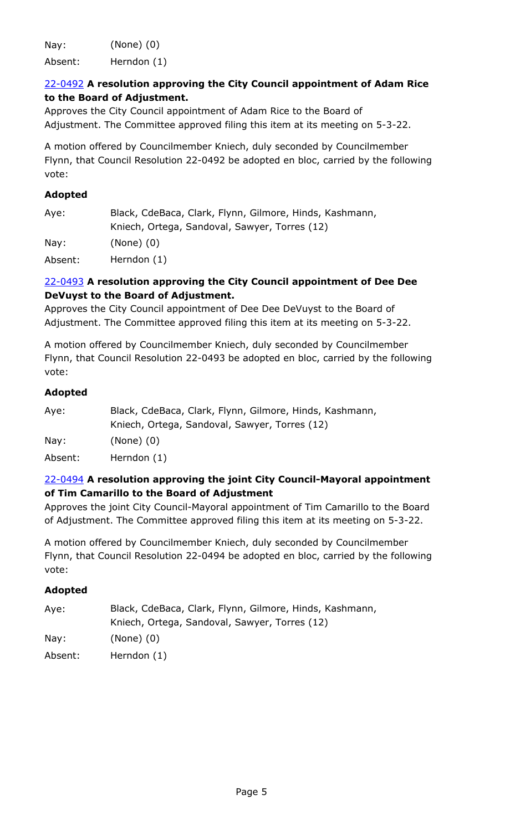Nay: (None) (0)

Absent: Herndon (1)

# 22-0492 **A resolution approving the City Council appointment of Adam Rice to the Board of Adjustment.**

Approves the City Council appointment of Adam Rice to the Board of [Adjustment. The Committee approved filing this item at its meeting on 5-3-22.](http://denver.legistar.com/gateway.aspx?m=l&id=/matter.aspx?key=21559)

A motion offered by Councilmember Kniech, duly seconded by Councilmember Flynn, that Council Resolution 22-0492 be adopted en bloc, carried by the following vote:

# **Adopted**

| Aye:    | Black, CdeBaca, Clark, Flynn, Gilmore, Hinds, Kashmann, |
|---------|---------------------------------------------------------|
|         | Kniech, Ortega, Sandoval, Sawyer, Torres (12)           |
| Nay:    | $(None)$ $(0)$                                          |
| Absent: | Herndon (1)                                             |

# 22-0493 **A resolution approving the City Council appointment of Dee Dee DeVuyst to the Board of Adjustment.**

Approves the City Council appointment of Dee Dee DeVuyst to the Board of [Adjustment. The Committee approved filing this item at its meeting on 5-3-22.](http://denver.legistar.com/gateway.aspx?m=l&id=/matter.aspx?key=21560)

A motion offered by Councilmember Kniech, duly seconded by Councilmember Flynn, that Council Resolution 22-0493 be adopted en bloc, carried by the following vote:

# **Adopted**

| Black, CdeBaca, Clark, Flynn, Gilmore, Hinds, Kashmann, |
|---------------------------------------------------------|
| Kniech, Ortega, Sandoval, Sawyer, Torres (12)           |
| (None) (0)                                              |
| Herndon (1)                                             |
|                                                         |

# 22-0494 **A resolution approving the joint City Council-Mayoral appointment of Tim Camarillo to the Board of Adjustment**

[Approves the joint City Council-Mayoral appointment of Tim Camarillo to the Board](http://denver.legistar.com/gateway.aspx?m=l&id=/matter.aspx?key=21561)  of Adjustment. The Committee approved filing this item at its meeting on 5-3-22.

A motion offered by Councilmember Kniech, duly seconded by Councilmember Flynn, that Council Resolution 22-0494 be adopted en bloc, carried by the following vote:

| Aye:            | Black, CdeBaca, Clark, Flynn, Gilmore, Hinds, Kashmann,<br>Kniech, Ortega, Sandoval, Sawyer, Torres (12) |
|-----------------|----------------------------------------------------------------------------------------------------------|
| $\textsf{Nay}:$ | $(None)$ $(0)$                                                                                           |
| Absent:         | Herndon (1)                                                                                              |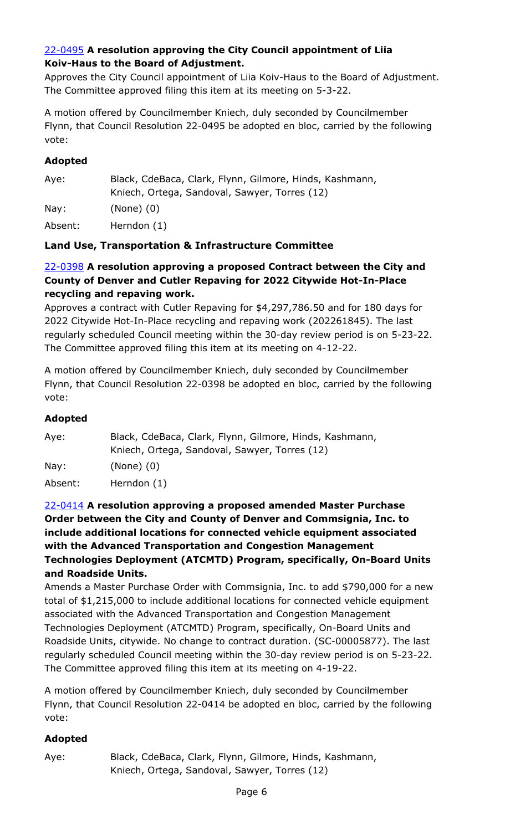# 22-0495 **A resolution approving the City Council appointment of Liia Koiv-Haus to the Board of Adjustment.**

[Approves the City Council appointment of Liia Koiv-Haus to the Board of Adjustment.](http://denver.legistar.com/gateway.aspx?m=l&id=/matter.aspx?key=21562)  The Committee approved filing this item at its meeting on 5-3-22.

A motion offered by Councilmember Kniech, duly seconded by Councilmember Flynn, that Council Resolution 22-0495 be adopted en bloc, carried by the following vote:

# **Adopted**

| Aye:    | Black, CdeBaca, Clark, Flynn, Gilmore, Hinds, Kashmann, |
|---------|---------------------------------------------------------|
|         | Kniech, Ortega, Sandoval, Sawyer, Torres (12)           |
| Nay:    | $(None)$ $(0)$                                          |
| Absent: | Herndon (1)                                             |

# **Land Use, Transportation & Infrastructure Committee**

## 22-0398 **A resolution approving a proposed Contract between the City and County of Denver and Cutler Repaving for 2022 Citywide Hot-In-Place recycling and repaving work.**

Approves a contract with Cutler Repaving for \$4,297,786.50 and for 180 days for 2022 Citywide Hot-In-Place recycling and repaving work (202261845). The last [regularly scheduled Council meeting within the 30-day review period is on 5-23-22.](http://denver.legistar.com/gateway.aspx?m=l&id=/matter.aspx?key=21465)  The Committee approved filing this item at its meeting on 4-12-22.

A motion offered by Councilmember Kniech, duly seconded by Councilmember Flynn, that Council Resolution 22-0398 be adopted en bloc, carried by the following vote:

## **Adopted**

| Aye:    | Black, CdeBaca, Clark, Flynn, Gilmore, Hinds, Kashmann, |
|---------|---------------------------------------------------------|
|         | Kniech, Ortega, Sandoval, Sawyer, Torres (12)           |
| Nay:    | $(None)$ $(0)$                                          |
| Absent: | Herndon (1)                                             |

## 22-0414 **A resolution approving a proposed amended Master Purchase Order between the City and County of Denver and Commsignia, Inc. to include additional locations for connected vehicle equipment associated with the Advanced Transportation and Congestion Management Technologies Deployment (ATCMTD) Program, specifically, On-Board Units and Roadside Units.**

[Amends a Master Purchase Order with Commsignia, Inc. to add \\$790,000 for a new](http://denver.legistar.com/gateway.aspx?m=l&id=/matter.aspx?key=21481)  total of \$1,215,000 to include additional locations for connected vehicle equipment associated with the Advanced Transportation and Congestion Management Technologies Deployment (ATCMTD) Program, specifically, On-Board Units and Roadside Units, citywide. No change to contract duration. (SC-00005877). The last regularly scheduled Council meeting within the 30-day review period is on 5-23-22. The Committee approved filing this item at its meeting on 4-19-22.

A motion offered by Councilmember Kniech, duly seconded by Councilmember Flynn, that Council Resolution 22-0414 be adopted en bloc, carried by the following vote:

## **Adopted**

Aye: Black, CdeBaca, Clark, Flynn, Gilmore, Hinds, Kashmann, Kniech, Ortega, Sandoval, Sawyer, Torres (12)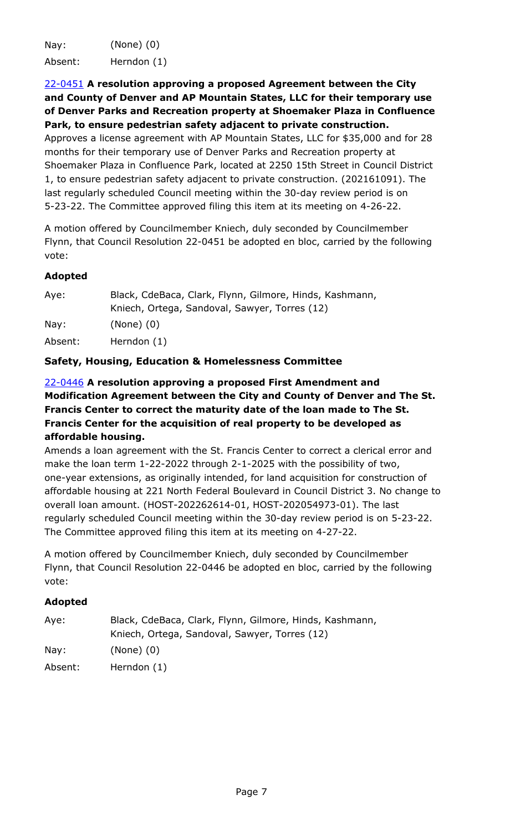Nay: (None) (0) Absent: Herndon (1)

22-0451 **A resolution approving a proposed Agreement between the City and County of Denver and AP Mountain States, LLC for their temporary use [of Denver Parks and Recreation property at Shoemaker Plaza in Confluence](http://denver.legistar.com/gateway.aspx?m=l&id=/matter.aspx?key=21518)  Park, to ensure pedestrian safety adjacent to private construction.** Approves a license agreement with AP Mountain States, LLC for \$35,000 and for 28

months for their temporary use of Denver Parks and Recreation property at Shoemaker Plaza in Confluence Park, located at 2250 15th Street in Council District 1, to ensure pedestrian safety adjacent to private construction. (202161091). The last regularly scheduled Council meeting within the 30-day review period is on 5-23-22. The Committee approved filing this item at its meeting on 4-26-22.

A motion offered by Councilmember Kniech, duly seconded by Councilmember Flynn, that Council Resolution 22-0451 be adopted en bloc, carried by the following vote:

# **Adopted**

| Aye:    | Black, CdeBaca, Clark, Flynn, Gilmore, Hinds, Kashmann, |
|---------|---------------------------------------------------------|
|         | Kniech, Ortega, Sandoval, Sawyer, Torres (12)           |
| Nay:    | $(None)$ $(0)$                                          |
| Absent: | Herndon (1)                                             |

# **Safety, Housing, Education & Homelessness Committee**

# 22-0446 **A resolution approving a proposed First Amendment and Modification Agreement between the City and County of Denver and The St. Francis Center to correct the maturity date of the loan made to The St. Francis Center for the acquisition of real property to be developed as affordable housing.**

Amends a loan agreement with the St. Francis Center to correct a clerical error and make the loan term 1-22-2022 through 2-1-2025 with the possibility of two, one-year extensions, as originally intended, for land acquisition for construction of [affordable housing at 221 North Federal Boulevard in Council District 3. No change to](http://denver.legistar.com/gateway.aspx?m=l&id=/matter.aspx?key=21513)  overall loan amount. (HOST-202262614-01, HOST-202054973-01). The last regularly scheduled Council meeting within the 30-day review period is on 5-23-22. The Committee approved filing this item at its meeting on 4-27-22.

A motion offered by Councilmember Kniech, duly seconded by Councilmember Flynn, that Council Resolution 22-0446 be adopted en bloc, carried by the following vote:

| Aye:    | Black, CdeBaca, Clark, Flynn, Gilmore, Hinds, Kashmann, |
|---------|---------------------------------------------------------|
|         | Kniech, Ortega, Sandoval, Sawyer, Torres (12)           |
| Nay:    | $(None)$ $(0)$                                          |
| Absent: | Herndon (1)                                             |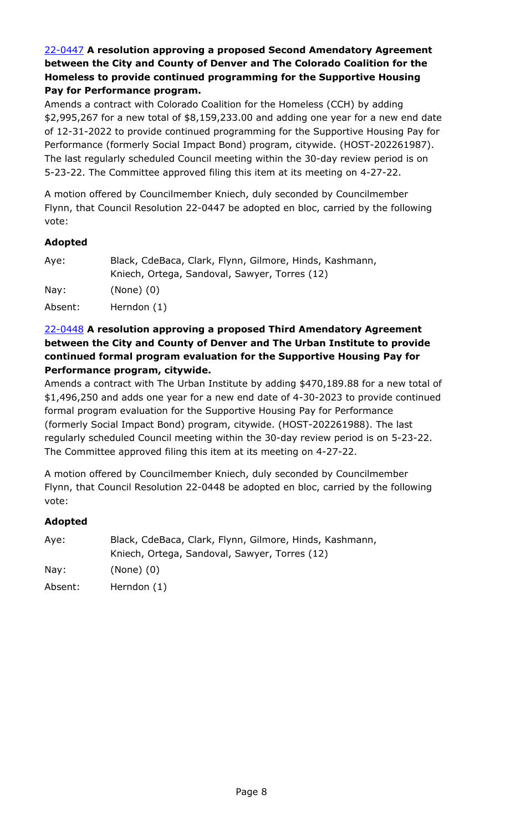# 22-0447 **A resolution approving a proposed Second Amendatory Agreement between the City and County of Denver and The Colorado Coalition for the Homeless to provide continued programming for the Supportive Housing Pay for Performance program.**

Amends a contract with Colorado Coalition for the Homeless (CCH) by adding [\\$2,995,267 for a new total of \\$8,159,233.00 and adding one year for a new end date](http://denver.legistar.com/gateway.aspx?m=l&id=/matter.aspx?key=21514)  of 12-31-2022 to provide continued programming for the Supportive Housing Pay for Performance (formerly Social Impact Bond) program, citywide. (HOST-202261987). The last regularly scheduled Council meeting within the 30-day review period is on 5-23-22. The Committee approved filing this item at its meeting on 4-27-22.

A motion offered by Councilmember Kniech, duly seconded by Councilmember Flynn, that Council Resolution 22-0447 be adopted en bloc, carried by the following vote:

# **Adopted**

| Aye:    | Black, CdeBaca, Clark, Flynn, Gilmore, Hinds, Kashmann, |
|---------|---------------------------------------------------------|
|         | Kniech, Ortega, Sandoval, Sawyer, Torres (12)           |
| Nay:    | $(None)$ $(0)$                                          |
| Absent: | Herndon (1)                                             |

## 22-0448 **A resolution approving a proposed Third Amendatory Agreement between the City and County of Denver and The Urban Institute to provide continued formal program evaluation for the Supportive Housing Pay for Performance program, citywide.**

[Amends a contract with The Urban Institute by adding \\$470,189.88 for a new total of](http://denver.legistar.com/gateway.aspx?m=l&id=/matter.aspx?key=21515)  \$1,496,250 and adds one year for a new end date of 4-30-2023 to provide continued formal program evaluation for the Supportive Housing Pay for Performance (formerly Social Impact Bond) program, citywide. (HOST-202261988). The last regularly scheduled Council meeting within the 30-day review period is on 5-23-22. The Committee approved filing this item at its meeting on 4-27-22.

A motion offered by Councilmember Kniech, duly seconded by Councilmember Flynn, that Council Resolution 22-0448 be adopted en bloc, carried by the following vote:

| Aye:    | Black, CdeBaca, Clark, Flynn, Gilmore, Hinds, Kashmann, |
|---------|---------------------------------------------------------|
|         | Kniech, Ortega, Sandoval, Sawyer, Torres (12)           |
| Nay:    | $(None)$ $(0)$                                          |
| Absent: | Herndon (1)                                             |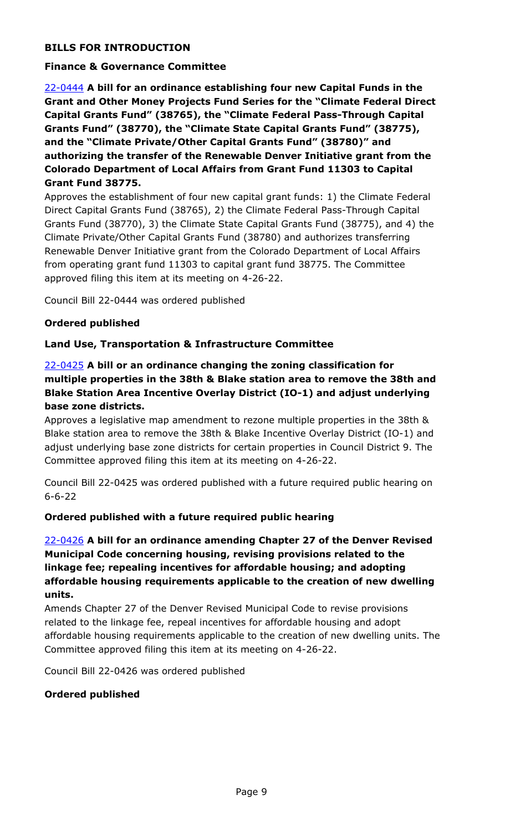# **BILLS FOR INTRODUCTION**

#### **Finance & Governance Committee**

22-0444 **A bill for an ordinance establishing four new Capital Funds in the [Grant and Other Money Projects Fund Series for the "Climate Federal Direct](http://denver.legistar.com/gateway.aspx?m=l&id=/matter.aspx?key=21511)  Capital Grants Fund" (38765), the "Climate Federal Pass-Through Capital Grants Fund" (38770), the "Climate State Capital Grants Fund" (38775), and the "Climate Private/Other Capital Grants Fund" (38780)" and authorizing the transfer of the Renewable Denver Initiative grant from the Colorado Department of Local Affairs from Grant Fund 11303 to Capital Grant Fund 38775.**

Approves the establishment of four new capital grant funds: 1) the Climate Federal Direct Capital Grants Fund (38765), 2) the Climate Federal Pass-Through Capital Grants Fund (38770), 3) the Climate State Capital Grants Fund (38775), and 4) the Climate Private/Other Capital Grants Fund (38780) and authorizes transferring Renewable Denver Initiative grant from the Colorado Department of Local Affairs from operating grant fund 11303 to capital grant fund 38775. The Committee approved filing this item at its meeting on 4-26-22.

Council Bill 22-0444 was ordered published

#### **Ordered published**

#### **Land Use, Transportation & Infrastructure Committee**

## 22-0425 **A bill or an ordinance changing the zoning classification for [multiple properties in the 38th & Blake station area to remove the 38th and](http://denver.legistar.com/gateway.aspx?m=l&id=/matter.aspx?key=21492)  Blake Station Area Incentive Overlay District (IO-1) and adjust underlying base zone districts.**

Approves a legislative map amendment to rezone multiple properties in the 38th & Blake station area to remove the 38th & Blake Incentive Overlay District (IO-1) and adjust underlying base zone districts for certain properties in Council District 9. The Committee approved filing this item at its meeting on 4-26-22.

Council Bill 22-0425 was ordered published with a future required public hearing on 6-6-22

#### **Ordered published with a future required public hearing**

## 22-0426 **A bill for an ordinance amending Chapter 27 of the Denver Revised Municipal Code concerning housing, revising provisions related to the linkage fee; repealing incentives for affordable housing; and adopting affordable housing requirements applicable to the creation of new dwelling units.**

Amends Chapter 27 of the Denver Revised Municipal Code to revise provisions related to the linkage fee, repeal incentives for affordable housing and adopt [affordable housing requirements applicable to the creation of new dwelling units. The](http://denver.legistar.com/gateway.aspx?m=l&id=/matter.aspx?key=21493)  Committee approved filing this item at its meeting on 4-26-22.

Council Bill 22-0426 was ordered published

#### **Ordered published**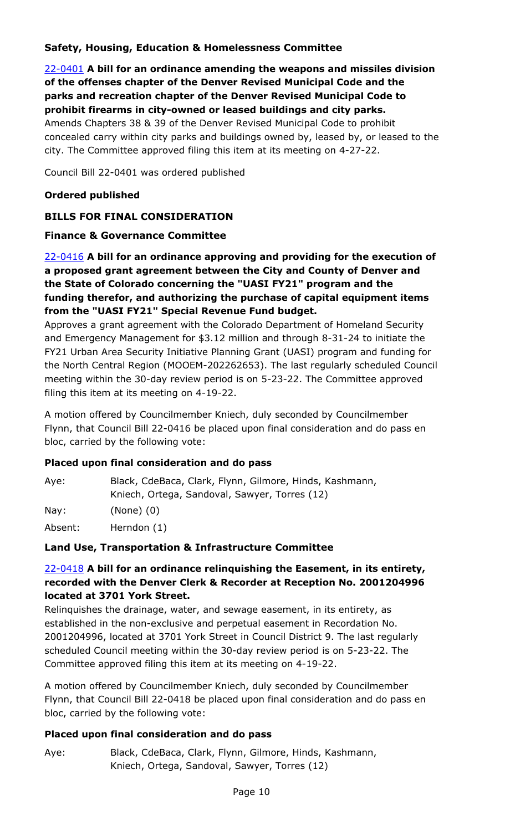# **Safety, Housing, Education & Homelessness Committee**

22-0401 **A bill for an ordinance amending the weapons and missiles division of the offenses chapter of the Denver Revised Municipal Code and the parks and recreation chapter of the Denver Revised Municipal Code to prohibit firearms in city-owned or leased buildings and city parks.** Amends Chapters 38 & 39 of the Denver Revised Municipal Code to prohibit [concealed carry within city parks and buildings owned by, leased by, or leased to the](http://denver.legistar.com/gateway.aspx?m=l&id=/matter.aspx?key=21468)  city. The Committee approved filing this item at its meeting on 4-27-22.

Council Bill 22-0401 was ordered published

#### **Ordered published**

## **BILLS FOR FINAL CONSIDERATION**

#### **Finance & Governance Committee**

# 22-0416 **A bill for an ordinance approving and providing for the execution of a proposed grant agreement between the City and County of Denver and the State of Colorado concerning the "UASI FY21" program and the funding therefor, and authorizing the purchase of capital equipment items from the "UASI FY21" Special Revenue Fund budget.**

Approves a grant agreement with the Colorado Department of Homeland Security and Emergency Management for \$3.12 million and through 8-31-24 to initiate the FY21 Urban Area Security Initiative Planning Grant (UASI) program and funding for [the North Central Region \(MOOEM-202262653\). The last regularly scheduled Council](http://denver.legistar.com/gateway.aspx?m=l&id=/matter.aspx?key=21483)  meeting within the 30-day review period is on 5-23-22. The Committee approved filing this item at its meeting on 4-19-22.

A motion offered by Councilmember Kniech, duly seconded by Councilmember Flynn, that Council Bill 22-0416 be placed upon final consideration and do pass en bloc, carried by the following vote:

#### **Placed upon final consideration and do pass**

| Aye: | Black, CdeBaca, Clark, Flynn, Gilmore, Hinds, Kashmann, |
|------|---------------------------------------------------------|
|      | Kniech, Ortega, Sandoval, Sawyer, Torres (12)           |
| Nay: | $(None)$ $(0)$                                          |

Absent: Herndon (1)

## **Land Use, Transportation & Infrastructure Committee**

## 22-0418 **A bill for an ordinance relinquishing the Easement, in its entirety, [recorded with the Denver Clerk & Recorder at Reception No. 2001204996](http://denver.legistar.com/gateway.aspx?m=l&id=/matter.aspx?key=21485)  located at 3701 York Street.**

Relinquishes the drainage, water, and sewage easement, in its entirety, as established in the non-exclusive and perpetual easement in Recordation No. 2001204996, located at 3701 York Street in Council District 9. The last regularly scheduled Council meeting within the 30-day review period is on 5-23-22. The Committee approved filing this item at its meeting on 4-19-22.

A motion offered by Councilmember Kniech, duly seconded by Councilmember Flynn, that Council Bill 22-0418 be placed upon final consideration and do pass en bloc, carried by the following vote:

## **Placed upon final consideration and do pass**

Aye: Black, CdeBaca, Clark, Flynn, Gilmore, Hinds, Kashmann, Kniech, Ortega, Sandoval, Sawyer, Torres (12)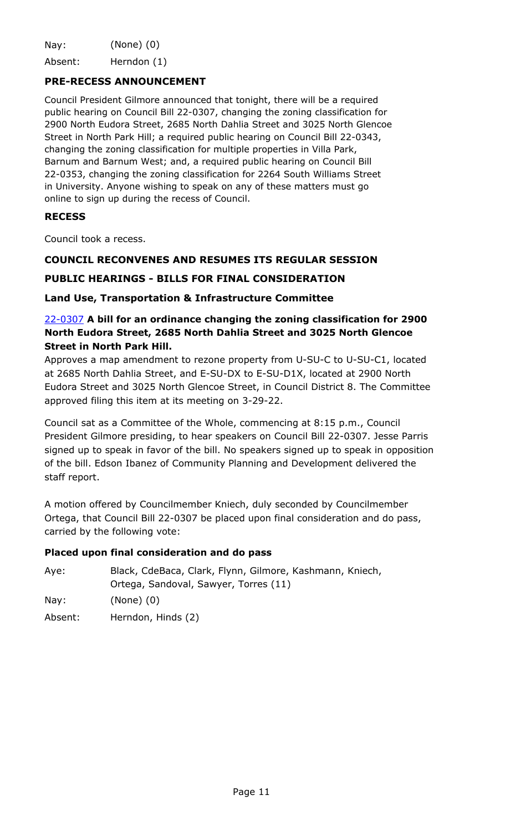Nay: (None) (0)

Absent: Herndon (1)

#### **PRE-RECESS ANNOUNCEMENT**

Council President Gilmore announced that tonight, there will be a required public hearing on Council Bill 22-0307, changing the zoning classification for 2900 North Eudora Street, 2685 North Dahlia Street and 3025 North Glencoe Street in North Park Hill; a required public hearing on Council Bill 22-0343, changing the zoning classification for multiple properties in Villa Park, Barnum and Barnum West; and, a required public hearing on Council Bill 22-0353, changing the zoning classification for 2264 South Williams Street in University. Anyone wishing to speak on any of these matters must go online to sign up during the recess of Council.

#### **RECESS**

Council took a recess.

#### **COUNCIL RECONVENES AND RESUMES ITS REGULAR SESSION**

#### **PUBLIC HEARINGS - BILLS FOR FINAL CONSIDERATION**

#### **Land Use, Transportation & Infrastructure Committee**

## 22-0307 **A bill for an ordinance changing the zoning classification for 2900 North Eudora Street, 2685 North Dahlia Street and 3025 North Glencoe Street in North Park Hill.**

Approves a map amendment to rezone property from U-SU-C to U-SU-C1, located at 2685 North Dahlia Street, and E-SU-DX to E-SU-D1X, located at 2900 North [Eudora Street and 3025 North Glencoe Street, in Council District 8. The Committee](http://denver.legistar.com/gateway.aspx?m=l&id=/matter.aspx?key=21374)  approved filing this item at its meeting on 3-29-22.

Council sat as a Committee of the Whole, commencing at 8:15 p.m., Council President Gilmore presiding, to hear speakers on Council Bill 22-0307. Jesse Parris signed up to speak in favor of the bill. No speakers signed up to speak in opposition of the bill. Edson Ibanez of Community Planning and Development delivered the staff report.

A motion offered by Councilmember Kniech, duly seconded by Councilmember Ortega, that Council Bill 22-0307 be placed upon final consideration and do pass, carried by the following vote:

#### **Placed upon final consideration and do pass**

| Ave:    | Black, CdeBaca, Clark, Flynn, Gilmore, Kashmann, Kniech, |
|---------|----------------------------------------------------------|
|         | Ortega, Sandoval, Sawyer, Torres (11)                    |
| Nay:    | $(None)$ $(0)$                                           |
| Absent: | Herndon, Hinds (2)                                       |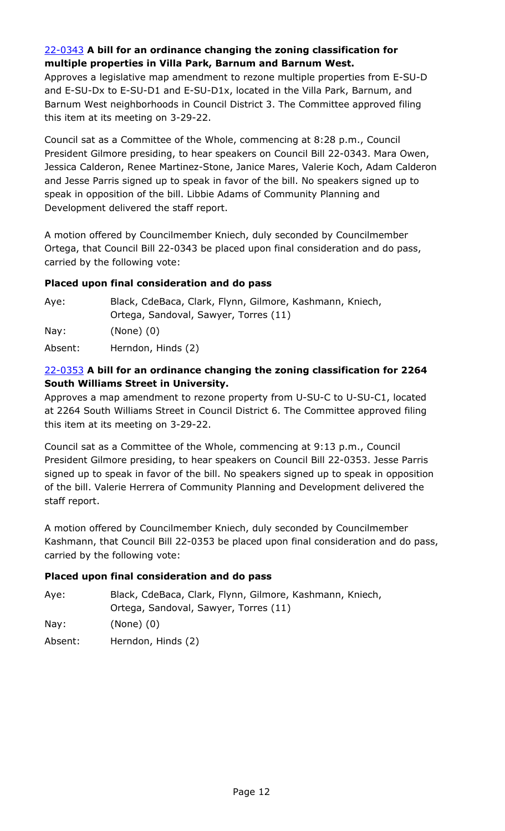# 22-0343 **A bill for an ordinance changing the zoning classification for multiple properties in Villa Park, Barnum and Barnum West.**

[Approves a legislative map amendment to rezone multiple properties from E-SU-D](http://denver.legistar.com/gateway.aspx?m=l&id=/matter.aspx?key=21410)  and E-SU-Dx to E-SU-D1 and E-SU-D1x, located in the Villa Park, Barnum, and Barnum West neighborhoods in Council District 3. The Committee approved filing this item at its meeting on 3-29-22.

Council sat as a Committee of the Whole, commencing at 8:28 p.m., Council President Gilmore presiding, to hear speakers on Council Bill 22-0343. Mara Owen, Jessica Calderon, Renee Martinez-Stone, Janice Mares, Valerie Koch, Adam Calderon and Jesse Parris signed up to speak in favor of the bill. No speakers signed up to speak in opposition of the bill. Libbie Adams of Community Planning and Development delivered the staff report.

A motion offered by Councilmember Kniech, duly seconded by Councilmember Ortega, that Council Bill 22-0343 be placed upon final consideration and do pass, carried by the following vote:

# **Placed upon final consideration and do pass**

| Aye:    | Black, CdeBaca, Clark, Flynn, Gilmore, Kashmann, Kniech, |
|---------|----------------------------------------------------------|
|         | Ortega, Sandoval, Sawyer, Torres (11)                    |
| Nay:    | $(None)$ $(0)$                                           |
| Absent: | Herndon, Hinds (2)                                       |

## 22-0353 **A bill for an ordinance changing the zoning classification for 2264 South Williams Street in University.**

Approves a map amendment to rezone property from U-SU-C to U-SU-C1, located [at 2264 South Williams Street in Council District 6. The Committee approved filing](http://denver.legistar.com/gateway.aspx?m=l&id=/matter.aspx?key=21420)  this item at its meeting on 3-29-22.

Council sat as a Committee of the Whole, commencing at 9:13 p.m., Council President Gilmore presiding, to hear speakers on Council Bill 22-0353. Jesse Parris signed up to speak in favor of the bill. No speakers signed up to speak in opposition of the bill. Valerie Herrera of Community Planning and Development delivered the staff report.

A motion offered by Councilmember Kniech, duly seconded by Councilmember Kashmann, that Council Bill 22-0353 be placed upon final consideration and do pass, carried by the following vote:

## **Placed upon final consideration and do pass**

| Aye:    | Black, CdeBaca, Clark, Flynn, Gilmore, Kashmann, Kniech, |
|---------|----------------------------------------------------------|
|         | Ortega, Sandoval, Sawyer, Torres (11)                    |
| Nay:    | $(None)$ $(0)$                                           |
| Absent: | Herndon, Hinds (2)                                       |